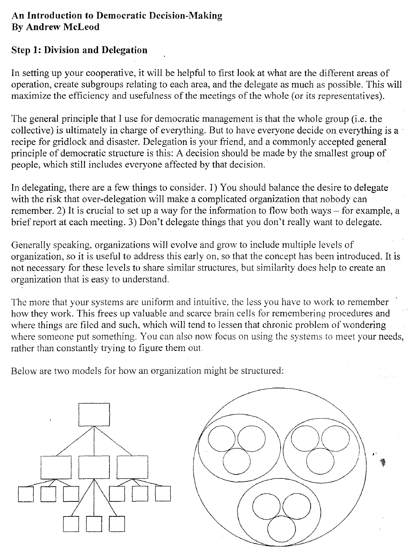## **An Introduction to Democratic Decision-Making By Andrew McLeod**

## **Step 1: Division and Delegation**

In setting up your cooperative, it will be helpful to first look at what are the different areas of operation, create subgroups relating to each area, and the delegate as much as possible. This will maximize the efficiency and usefulness of the meetings of the whole (or its representatives).

The general principle that I use for democratic management is that the whole group (i.e. the collective) is ultimately in charge of everything. But to have everyone decide on everything is a recipe for gridlock and disaster. Delegation is your friend, and a commonly accepted general principle of democratic structure is this: A decision should be made by the smallest group of people, which still includes everyone affected by that decision.

In delegating, there are a few things to consider. 1) You should balance the desire to delegate with the risk that over-delegation will make a complicated organization that nobody can remember. 2) It is crucial to set up a way for the information to flow both ways  $-$  for example, a brief report at each meeting. 3) Don't delegate things that you don't really want to delegate.

Generally speaking, organizations will evolve and grow to include multiple levels of organization, so it is useful to address this early on, so that the concept has been introduced. It is not necessary for these levels to share similar structures, but similarity does help to create an organization that is easy to understand.

The more that your systems are uniform and intuitive, the less you have to work to remember how they work. This frees up valuable and scarce brain cells for remembering procedures and where things are filed and such, which will tend to lessen that chronic problem of wondering where someone put something. You can also now focus on using the systems to meet your needs, rather than constantly trying to figure them out

Below are two models for how an organization might be stmctured: